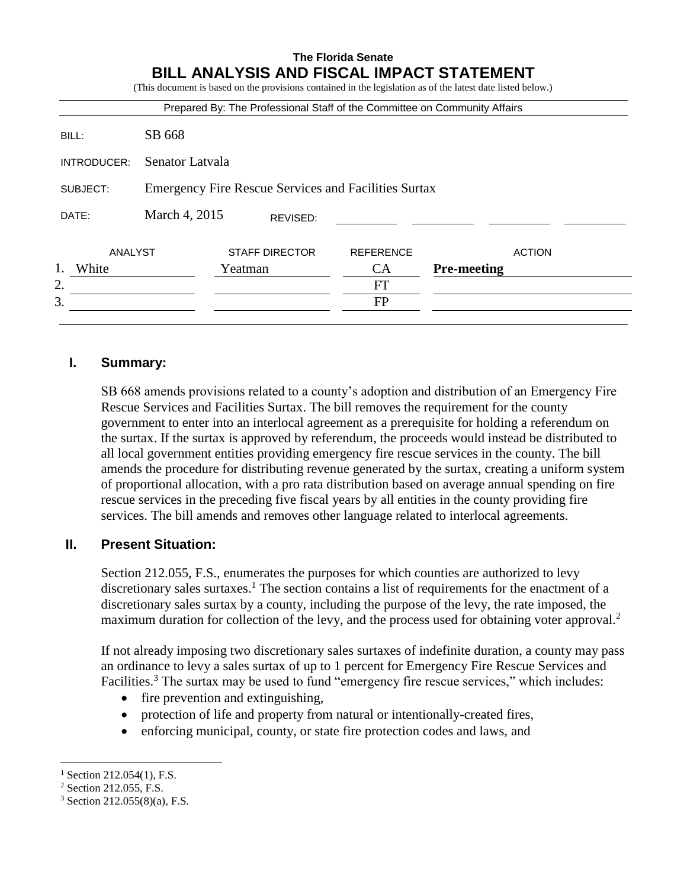# **The Florida Senate BILL ANALYSIS AND FISCAL IMPACT STATEMENT**

|             |                                                             | Prepared By: The Professional Staff of the Committee on Community Affairs |                  |                    |  |
|-------------|-------------------------------------------------------------|---------------------------------------------------------------------------|------------------|--------------------|--|
| BILL:       | SB 668                                                      |                                                                           |                  |                    |  |
| INTRODUCER: | Senator Latvala                                             |                                                                           |                  |                    |  |
| SUBJECT:    | <b>Emergency Fire Rescue Services and Facilities Surtax</b> |                                                                           |                  |                    |  |
| DATE:       | March 4, 2015                                               | REVISED:                                                                  |                  |                    |  |
| ANALYST     |                                                             | <b>STAFF DIRECTOR</b>                                                     | <b>REFERENCE</b> | <b>ACTION</b>      |  |
| 1.<br>White |                                                             | Yeatman                                                                   | <b>CA</b>        | <b>Pre-meeting</b> |  |
| 2.          |                                                             |                                                                           | FT               |                    |  |
| 3.          |                                                             |                                                                           | FP               |                    |  |

## **I. Summary:**

SB 668 amends provisions related to a county's adoption and distribution of an Emergency Fire Rescue Services and Facilities Surtax. The bill removes the requirement for the county government to enter into an interlocal agreement as a prerequisite for holding a referendum on the surtax. If the surtax is approved by referendum, the proceeds would instead be distributed to all local government entities providing emergency fire rescue services in the county. The bill amends the procedure for distributing revenue generated by the surtax, creating a uniform system of proportional allocation, with a pro rata distribution based on average annual spending on fire rescue services in the preceding five fiscal years by all entities in the county providing fire services. The bill amends and removes other language related to interlocal agreements.

## **II. Present Situation:**

Section 212.055, F.S., enumerates the purposes for which counties are authorized to levy discretionary sales surtaxes.<sup>1</sup> The section contains a list of requirements for the enactment of a discretionary sales surtax by a county, including the purpose of the levy, the rate imposed, the maximum duration for collection of the levy, and the process used for obtaining voter approval.<sup>2</sup>

If not already imposing two discretionary sales surtaxes of indefinite duration, a county may pass an ordinance to levy a sales surtax of up to 1 percent for Emergency Fire Rescue Services and Facilities.<sup>3</sup> The surtax may be used to fund "emergency fire rescue services," which includes:

- fire prevention and extinguishing,
- protection of life and property from natural or intentionally-created fires,
- enforcing municipal, county, or state fire protection codes and laws, and

 $\overline{a}$ 

 $1$  Section 212.054(1), F.S.

<sup>2</sup> Section 212.055, F.S.

 $3$  Section 212.055(8)(a), F.S.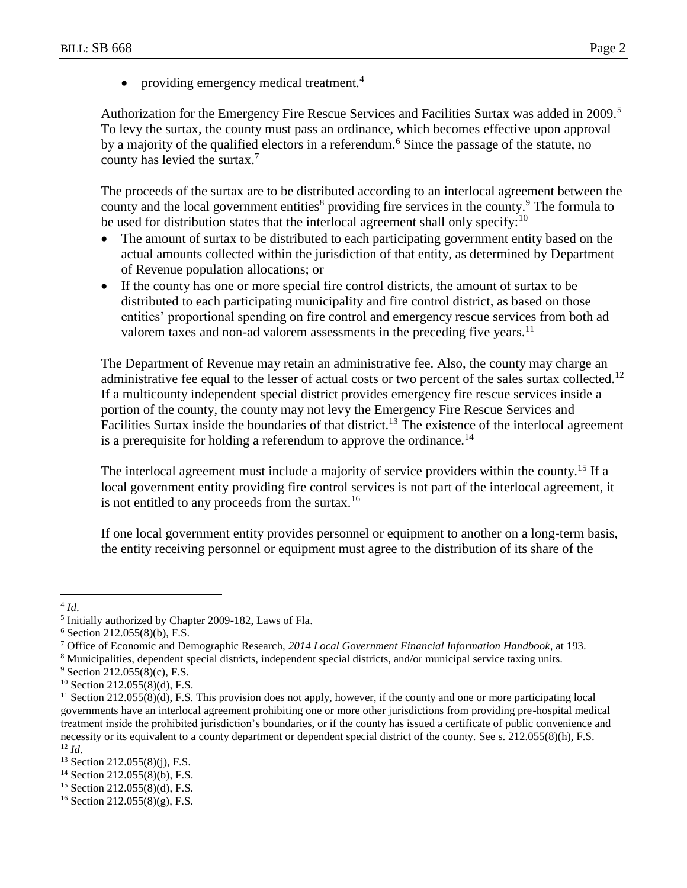• providing emergency medical treatment.<sup>4</sup>

Authorization for the Emergency Fire Rescue Services and Facilities Surtax was added in 2009.<sup>5</sup> To levy the surtax, the county must pass an ordinance, which becomes effective upon approval by a majority of the qualified electors in a referendum.<sup>6</sup> Since the passage of the statute, no county has levied the surtax.<sup>7</sup>

The proceeds of the surtax are to be distributed according to an interlocal agreement between the county and the local government entities<sup>8</sup> providing fire services in the county.<sup>9</sup> The formula to be used for distribution states that the interlocal agreement shall only specify:<sup>10</sup>

- The amount of surtax to be distributed to each participating government entity based on the actual amounts collected within the jurisdiction of that entity, as determined by Department of Revenue population allocations; or
- If the county has one or more special fire control districts, the amount of surtax to be distributed to each participating municipality and fire control district, as based on those entities' proportional spending on fire control and emergency rescue services from both ad valorem taxes and non-ad valorem assessments in the preceding five years.<sup>11</sup>

The Department of Revenue may retain an administrative fee. Also, the county may charge an administrative fee equal to the lesser of actual costs or two percent of the sales surtax collected.<sup>12</sup> If a multicounty independent special district provides emergency fire rescue services inside a portion of the county, the county may not levy the Emergency Fire Rescue Services and Facilities Surtax inside the boundaries of that district.<sup>13</sup> The existence of the interlocal agreement is a prerequisite for holding a referendum to approve the ordinance.<sup>14</sup>

The interlocal agreement must include a majority of service providers within the county.<sup>15</sup> If a local government entity providing fire control services is not part of the interlocal agreement, it is not entitled to any proceeds from the surtax.<sup>16</sup>

If one local government entity provides personnel or equipment to another on a long-term basis, the entity receiving personnel or equipment must agree to the distribution of its share of the

 $4$  *Id.* 

<sup>&</sup>lt;sup>5</sup> Initially authorized by Chapter 2009-182, Laws of Fla.

 $6$  Section 212.055(8)(b), F.S.

<sup>7</sup> Office of Economic and Demographic Research, *2014 Local Government Financial Information Handbook,* at 193.

<sup>8</sup> Municipalities, dependent special districts, independent special districts, and/or municipal service taxing units.

<sup>9</sup> Section 212.055(8)(c), F.S.

 $10$  Section 212.055(8)(d), F.S.

 $11$  Section 212.055(8)(d), F.S. This provision does not apply, however, if the county and one or more participating local governments have an interlocal agreement prohibiting one or more other jurisdictions from providing pre-hospital medical treatment inside the prohibited jurisdiction's boundaries, or if the county has issued a certificate of public convenience and necessity or its equivalent to a county department or dependent special district of the county. See s. 212.055(8)(h), F.S.  $12$  *Id.* 

 $13$  Section 212.055(8)(j), F.S.

<sup>14</sup> Section 212.055(8)(b), F.S.

 $15$  Section 212.055(8)(d), F.S.

 $16$  Section 212.055(8)(g), F.S.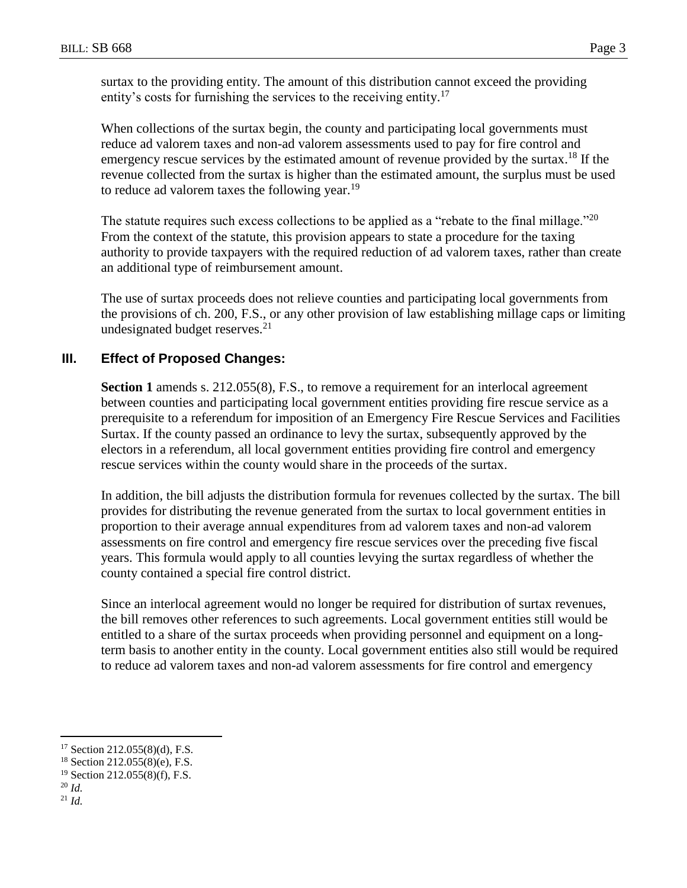surtax to the providing entity. The amount of this distribution cannot exceed the providing entity's costs for furnishing the services to the receiving entity.<sup>17</sup>

When collections of the surtax begin, the county and participating local governments must reduce ad valorem taxes and non-ad valorem assessments used to pay for fire control and emergency rescue services by the estimated amount of revenue provided by the surtax.<sup>18</sup> If the revenue collected from the surtax is higher than the estimated amount, the surplus must be used to reduce ad valorem taxes the following year.<sup>19</sup>

The statute requires such excess collections to be applied as a "rebate to the final millage."<sup>20</sup> From the context of the statute, this provision appears to state a procedure for the taxing authority to provide taxpayers with the required reduction of ad valorem taxes, rather than create an additional type of reimbursement amount.

The use of surtax proceeds does not relieve counties and participating local governments from the provisions of ch. 200, F.S., or any other provision of law establishing millage caps or limiting undesignated budget reserves.<sup>21</sup>

## **III. Effect of Proposed Changes:**

**Section 1** amends s. 212.055(8), F.S., to remove a requirement for an interlocal agreement between counties and participating local government entities providing fire rescue service as a prerequisite to a referendum for imposition of an Emergency Fire Rescue Services and Facilities Surtax. If the county passed an ordinance to levy the surtax, subsequently approved by the electors in a referendum, all local government entities providing fire control and emergency rescue services within the county would share in the proceeds of the surtax.

In addition, the bill adjusts the distribution formula for revenues collected by the surtax. The bill provides for distributing the revenue generated from the surtax to local government entities in proportion to their average annual expenditures from ad valorem taxes and non-ad valorem assessments on fire control and emergency fire rescue services over the preceding five fiscal years. This formula would apply to all counties levying the surtax regardless of whether the county contained a special fire control district.

Since an interlocal agreement would no longer be required for distribution of surtax revenues, the bill removes other references to such agreements. Local government entities still would be entitled to a share of the surtax proceeds when providing personnel and equipment on a longterm basis to another entity in the county. Local government entities also still would be required to reduce ad valorem taxes and non-ad valorem assessments for fire control and emergency

 $\overline{a}$ 

<sup>21</sup> *Id.*

<sup>17</sup> Section 212.055(8)(d), F.S.

 $18$  Section 212.055(8)(e), F.S.

 $19$  Section 212.055(8)(f), F.S.

<sup>20</sup> *Id.*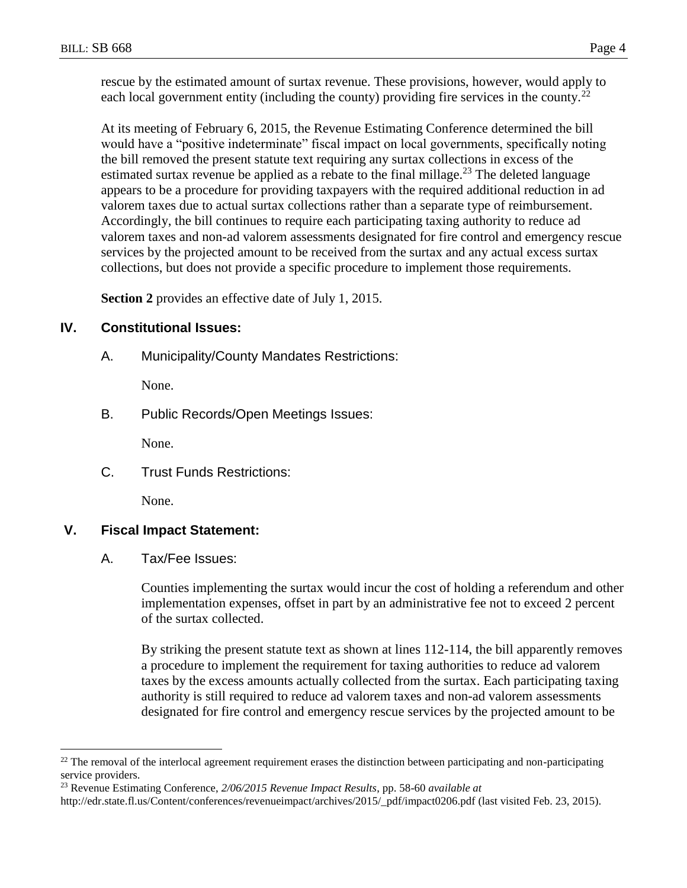rescue by the estimated amount of surtax revenue. These provisions, however, would apply to each local government entity (including the county) providing fire services in the county.<sup>22</sup>

At its meeting of February 6, 2015, the Revenue Estimating Conference determined the bill would have a "positive indeterminate" fiscal impact on local governments, specifically noting the bill removed the present statute text requiring any surtax collections in excess of the estimated surtax revenue be applied as a rebate to the final millage.<sup>23</sup> The deleted language appears to be a procedure for providing taxpayers with the required additional reduction in ad valorem taxes due to actual surtax collections rather than a separate type of reimbursement. Accordingly, the bill continues to require each participating taxing authority to reduce ad valorem taxes and non-ad valorem assessments designated for fire control and emergency rescue services by the projected amount to be received from the surtax and any actual excess surtax collections, but does not provide a specific procedure to implement those requirements.

**Section 2** provides an effective date of July 1, 2015.

### **IV. Constitutional Issues:**

A. Municipality/County Mandates Restrictions:

None.

B. Public Records/Open Meetings Issues:

None.

C. Trust Funds Restrictions:

None.

#### **V. Fiscal Impact Statement:**

 $\overline{a}$ 

A. Tax/Fee Issues:

Counties implementing the surtax would incur the cost of holding a referendum and other implementation expenses, offset in part by an administrative fee not to exceed 2 percent of the surtax collected.

By striking the present statute text as shown at lines 112-114, the bill apparently removes a procedure to implement the requirement for taxing authorities to reduce ad valorem taxes by the excess amounts actually collected from the surtax. Each participating taxing authority is still required to reduce ad valorem taxes and non-ad valorem assessments designated for fire control and emergency rescue services by the projected amount to be

 $22$  The removal of the interlocal agreement requirement erases the distinction between participating and non-participating service providers.

<sup>23</sup> Revenue Estimating Conference, *2/06/2015 Revenue Impact Results*, pp. 58-60 *available at*

http://edr.state.fl.us/Content/conferences/revenueimpact/archives/2015/\_pdf/impact0206.pdf (last visited Feb. 23, 2015).